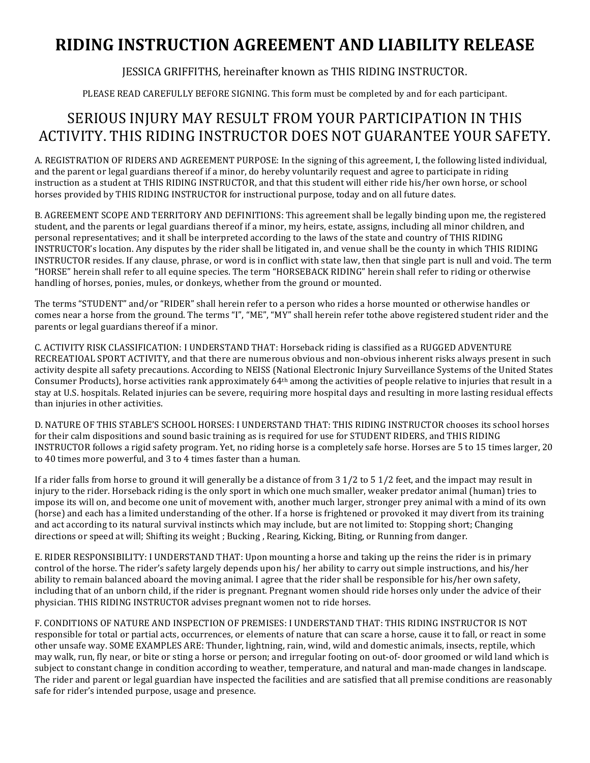# **RIDING INSTRUCTION AGREEMENT AND LIABILITY RELEASE**

# JESSICA GRIFFITHS, hereinafter known as THIS RIDING INSTRUCTOR.

PLEASE READ CAREFULLY BEFORE SIGNING. This form must be completed by and for each participant.

# SERIOUS INJURY MAY RESULT FROM YOUR PARTICIPATION IN THIS ACTIVITY. THIS RIDING INSTRUCTOR DOES NOT GUARANTEE YOUR SAFETY.

A. REGISTRATION OF RIDERS AND AGREEMENT PURPOSE: In the signing of this agreement, I, the following listed individual, and the parent or legal guardians thereof if a minor, do hereby voluntarily request and agree to participate in riding instruction as a student at THIS RIDING INSTRUCTOR, and that this student will either ride his/her own horse, or school horses provided by THIS RIDING INSTRUCTOR for instructional purpose, today and on all future dates.

B. AGREEMENT SCOPE AND TERRITORY AND DEFINITIONS: This agreement shall be legally binding upon me, the registered student, and the parents or legal guardians thereof if a minor, my heirs, estate, assigns, including all minor children, and personal representatives; and it shall be interpreted according to the laws of the state and country of THIS RIDING INSTRUCTOR's location. Any disputes by the rider shall be litigated in, and venue shall be the county in which THIS RIDING INSTRUCTOR resides. If any clause, phrase, or word is in conflict with state law, then that single part is null and void. The term "HORSE" herein shall refer to all equine species. The term "HORSEBACK RIDING" herein shall refer to riding or otherwise handling of horses, ponies, mules, or donkeys, whether from the ground or mounted.

The terms "STUDENT" and/or "RIDER" shall herein refer to a person who rides a horse mounted or otherwise handles or comes near a horse from the ground. The terms "I", "ME", "MY" shall herein refer tothe above registered student rider and the parents or legal guardians thereof if a minor.

C. ACTIVITY RISK CLASSIFICATION: I UNDERSTAND THAT: Horseback riding is classified as a RUGGED ADVENTURE RECREATIOAL SPORT ACTIVITY, and that there are numerous obvious and non-obvious inherent risks always present in such activity despite all safety precautions. According to NEISS (National Electronic Injury Surveillance Systems of the United States Consumer Products), horse activities rank approximately  $64<sup>th</sup>$  among the activities of people relative to injuries that result in a stay at U.S. hospitals. Related injuries can be severe, requiring more hospital days and resulting in more lasting residual effects than injuries in other activities.

D. NATURE OF THIS STABLE'S SCHOOL HORSES: I UNDERSTAND THAT: THIS RIDING INSTRUCTOR chooses its school horses for their calm dispositions and sound basic training as is required for use for STUDENT RIDERS, and THIS RIDING INSTRUCTOR follows a rigid safety program. Yet, no riding horse is a completely safe horse. Horses are 5 to 15 times larger, 20 to 40 times more powerful, and 3 to 4 times faster than a human.

If a rider falls from horse to ground it will generally be a distance of from  $3\frac{1}{2}$  to  $5\frac{1}{2}$  feet, and the impact may result in injury to the rider. Horseback riding is the only sport in which one much smaller, weaker predator animal (human) tries to impose its will on, and become one unit of movement with, another much larger, stronger prey animal with a mind of its own (horse) and each has a limited understanding of the other. If a horse is frightened or provoked it may divert from its training and act according to its natural survival instincts which may include, but are not limited to: Stopping short; Changing directions or speed at will; Shifting its weight ; Bucking, Rearing, Kicking, Biting, or Running from danger.

E. RIDER RESPONSIBILITY: I UNDERSTAND THAT: Upon mounting a horse and taking up the reins the rider is in primary control of the horse. The rider's safety largely depends upon his/ her ability to carry out simple instructions, and his/her ability to remain balanced aboard the moving animal. I agree that the rider shall be responsible for his/her own safety, including that of an unborn child, if the rider is pregnant. Pregnant women should ride horses only under the advice of their physician. THIS RIDING INSTRUCTOR advises pregnant women not to ride horses.

F. CONDITIONS OF NATURE AND INSPECTION OF PREMISES: I UNDERSTAND THAT: THIS RIDING INSTRUCTOR IS NOT responsible for total or partial acts, occurrences, or elements of nature that can scare a horse, cause it to fall, or react in some other unsafe way. SOME EXAMPLES ARE: Thunder, lightning, rain, wind, wild and domestic animals, insects, reptile, which may walk, run, fly near, or bite or sting a horse or person; and irregular footing on out-of- door groomed or wild land which is subject to constant change in condition according to weather, temperature, and natural and man-made changes in landscape. The rider and parent or legal guardian have inspected the facilities and are satisfied that all premise conditions are reasonably safe for rider's intended purpose, usage and presence.